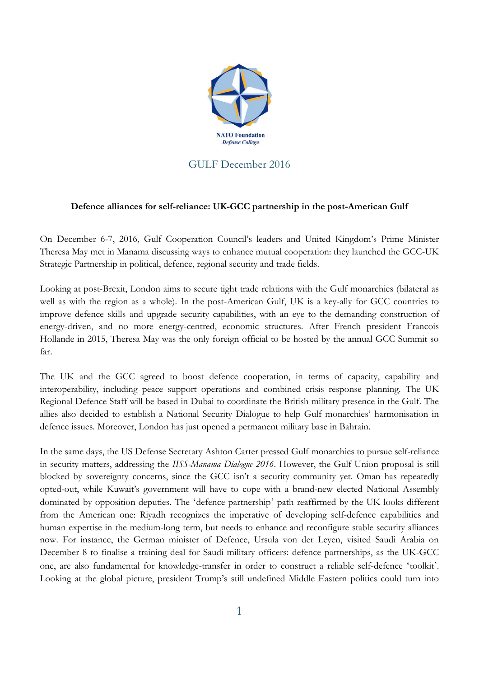

## GULF December 2016

## **Defence alliances for self-reliance: UK-GCC partnership in the post-American Gulf**

On December 6-7, 2016, Gulf Cooperation Council's leaders and United Kingdom's Prime Minister Theresa May met in Manama discussing ways to enhance mutual cooperation: they launched the GCC-UK Strategic Partnership in political, defence, regional security and trade fields.

Looking at post-Brexit, London aims to secure tight trade relations with the Gulf monarchies (bilateral as well as with the region as a whole). In the post-American Gulf, UK is a key-ally for GCC countries to improve defence skills and upgrade security capabilities, with an eye to the demanding construction of energy-driven, and no more energy-centred, economic structures. After French president Francois Hollande in 2015, Theresa May was the only foreign official to be hosted by the annual GCC Summit so far.

The UK and the GCC agreed to boost defence cooperation, in terms of capacity, capability and interoperability, including peace support operations and combined crisis response planning. The UK Regional Defence Staff will be based in Dubai to coordinate the British military presence in the Gulf. The allies also decided to establish a National Security Dialogue to help Gulf monarchies' harmonisation in defence issues. Moreover, London has just opened a permanent military base in Bahrain.

In the same days, the US Defense Secretary Ashton Carter pressed Gulf monarchies to pursue self-reliance in security matters, addressing the *IISS-Manama Dialogue 2016*. However, the Gulf Union proposal is still blocked by sovereignty concerns, since the GCC isn't a security community yet. Oman has repeatedly opted-out, while Kuwait's government will have to cope with a brand-new elected National Assembly dominated by opposition deputies. The 'defence partnership' path reaffirmed by the UK looks different from the American one: Riyadh recognizes the imperative of developing self-defence capabilities and human expertise in the medium-long term, but needs to enhance and reconfigure stable security alliances now. For instance, the German minister of Defence, Ursula von der Leyen, visited Saudi Arabia on December 8 to finalise a training deal for Saudi military officers: defence partnerships, as the UK-GCC one, are also fundamental for knowledge-transfer in order to construct a reliable self-defence 'toolkitˋ. Looking at the global picture, president Trump's still undefined Middle Eastern politics could turn into